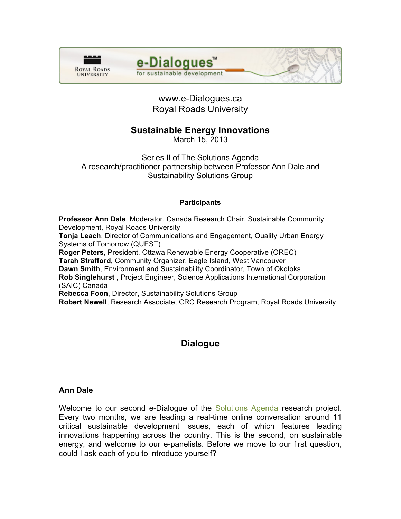



# www.e-Dialogues.ca Royal Roads University

# **Sustainable Energy Innovations**

March 15, 2013

Series II of The Solutions Agenda A research/practitioner partnership between Professor Ann Dale and Sustainability Solutions Group

#### **Participants**

**Professor Ann Dale**, Moderator, Canada Research Chair, Sustainable Community Development, Royal Roads University **Tonja Leach**, Director of Communications and Engagement, Quality Urban Energy Systems of Tomorrow (QUEST) **Roger Peters**, President, Ottawa Renewable Energy Cooperative (OREC) **Tarah Strafford,** Community Organizer, Eagle Island, West Vancouver **Dawn Smith**, Environment and Sustainability Coordinator, Town of Okotoks **Rob Singlehurst** , Project Engineer, Science Applications International Corporation (SAIC) Canada **Rebecca Foon**, Director, Sustainability Solutions Group **Robert Newell**, Research Associate, CRC Research Program, Royal Roads University

# **Dialogue**

### **Ann Dale**

Welcome to our second e-Dialogue of the [Solutions Agenda](http://www.crcresearch.org/solutions-agenda) research project. Every two months, we are leading a real-time online conversation around 11 critical sustainable development issues, each of which features leading innovations happening across the country. This is the second, on sustainable energy, and welcome to our e-panelists. Before we move to our first question, could I ask each of you to introduce yourself?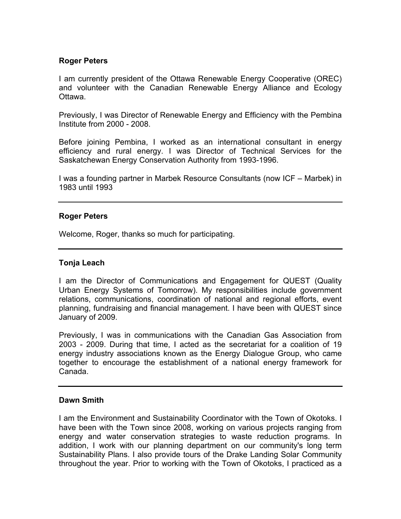### **Roger Peters**

I am currently president of the Ottawa Renewable Energy Cooperative (OREC) and volunteer with the Canadian Renewable Energy Alliance and Ecology Ottawa.

Previously, I was Director of Renewable Energy and Efficiency with the Pembina Institute from 2000 - 2008.

Before joining Pembina, I worked as an international consultant in energy efficiency and rural energy. I was Director of Technical Services for the Saskatchewan Energy Conservation Authority from 1993-1996.

I was a founding partner in Marbek Resource Consultants (now ICF – Marbek) in 1983 until 1993

### **Roger Peters**

Welcome, Roger, thanks so much for participating.

#### **Tonja Leach**

I am the Director of Communications and Engagement for QUEST (Quality Urban Energy Systems of Tomorrow). My responsibilities include government relations, communications, coordination of national and regional efforts, event planning, fundraising and financial management. I have been with QUEST since January of 2009.

Previously, I was in communications with the Canadian Gas Association from 2003 - 2009. During that time, I acted as the secretariat for a coalition of 19 energy industry associations known as the Energy Dialogue Group, who came together to encourage the establishment of a national energy framework for Canada.

#### **Dawn Smith**

I am the Environment and Sustainability Coordinator with the Town of Okotoks. I have been with the Town since 2008, working on various projects ranging from energy and water conservation strategies to waste reduction programs. In addition, I work with our planning department on our community's long term Sustainability Plans. I also provide tours of the Drake Landing Solar Community throughout the year. Prior to working with the Town of Okotoks, I practiced as a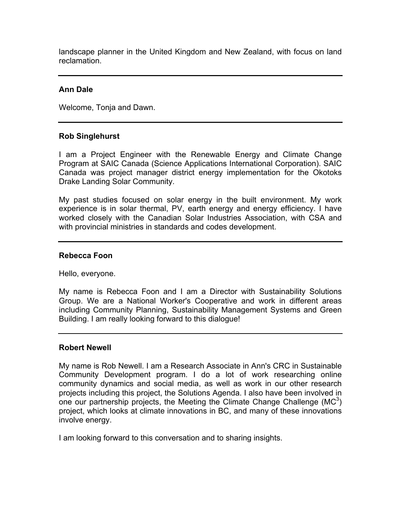landscape planner in the United Kingdom and New Zealand, with focus on land reclamation.

#### **Ann Dale**

Welcome, Tonja and Dawn.

#### **Rob Singlehurst**

I am a Project Engineer with the Renewable Energy and Climate Change Program at SAIC Canada (Science Applications International Corporation). SAIC Canada was project manager district energy implementation for the Okotoks Drake Landing Solar Community.

My past studies focused on solar energy in the built environment. My work experience is in solar thermal, PV, earth energy and energy efficiency. I have worked closely with the Canadian Solar Industries Association, with CSA and with provincial ministries in standards and codes development.

#### **Rebecca Foon**

Hello, everyone.

My name is Rebecca Foon and I am a Director with Sustainability Solutions Group. We are a National Worker's Cooperative and work in different areas including Community Planning, Sustainability Management Systems and Green Building. I am really looking forward to this dialogue!

#### **Robert Newell**

My name is Rob Newell. I am a Research Associate in Ann's CRC in Sustainable Community Development program. I do a lot of work researching online community dynamics and social media, as well as work in our other research projects including this project, the Solutions Agenda. I also have been involved in one our partnership projects, the Meeting the Climate Change Challenge ( $MC<sup>3</sup>$ ) project, which looks at climate innovations in BC, and many of these innovations involve energy.

I am looking forward to this conversation and to sharing insights.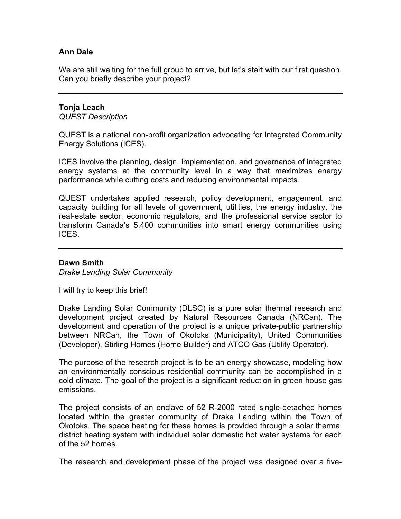## **Ann Dale**

We are still waiting for the full group to arrive, but let's start with our first question. Can you briefly describe your project?

## **Tonja Leach**

*QUEST Description*

QUEST is a national non-profit organization advocating for Integrated Community Energy Solutions (ICES).

ICES involve the planning, design, implementation, and governance of integrated energy systems at the community level in a way that maximizes energy performance while cutting costs and reducing environmental impacts.

QUEST undertakes applied research, policy development, engagement, and capacity building for all levels of government, utilities, the energy industry, the real-estate sector, economic regulators, and the professional service sector to transform Canada's 5,400 communities into smart energy communities using ICES.

#### **Dawn Smith**

*Drake Landing Solar Community*

I will try to keep this brief!

Drake Landing Solar Community (DLSC) is a pure solar thermal research and development project created by Natural Resources Canada (NRCan). The development and operation of the project is a unique private-public partnership between NRCan, the Town of Okotoks (Municipality), United Communities (Developer), Stirling Homes (Home Builder) and ATCO Gas (Utility Operator).

The purpose of the research project is to be an energy showcase, modeling how an environmentally conscious residential community can be accomplished in a cold climate. The goal of the project is a significant reduction in green house gas emissions.

The project consists of an enclave of 52 R-2000 rated single-detached homes located within the greater community of Drake Landing within the Town of Okotoks. The space heating for these homes is provided through a solar thermal district heating system with individual solar domestic hot water systems for each of the 52 homes.

The research and development phase of the project was designed over a five-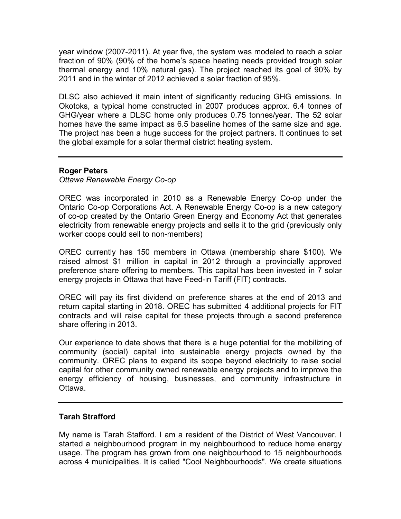year window (2007-2011). At year five, the system was modeled to reach a solar fraction of 90% (90% of the home's space heating needs provided trough solar thermal energy and 10% natural gas). The project reached its goal of 90% by 2011 and in the winter of 2012 achieved a solar fraction of 95%.

DLSC also achieved it main intent of significantly reducing GHG emissions. In Okotoks, a typical home constructed in 2007 produces approx. 6.4 tonnes of GHG/year where a DLSC home only produces 0.75 tonnes/year. The 52 solar homes have the same impact as 6.5 baseline homes of the same size and age. The project has been a huge success for the project partners. It continues to set the global example for a solar thermal district heating system.

#### **Roger Peters**

### *Ottawa Renewable Energy Co-op*

OREC was incorporated in 2010 as a Renewable Energy Co-op under the Ontario Co-op Corporations Act. A Renewable Energy Co-op is a new category of co-op created by the Ontario Green Energy and Economy Act that generates electricity from renewable energy projects and sells it to the grid (previously only worker coops could sell to non-members)

OREC currently has 150 members in Ottawa (membership share \$100). We raised almost \$1 million in capital in 2012 through a provincially approved preference share offering to members. This capital has been invested in 7 solar energy projects in Ottawa that have Feed-in Tariff (FIT) contracts.

OREC will pay its first dividend on preference shares at the end of 2013 and return capital starting in 2018. OREC has submitted 4 additional projects for FIT contracts and will raise capital for these projects through a second preference share offering in 2013.

Our experience to date shows that there is a huge potential for the mobilizing of community (social) capital into sustainable energy projects owned by the community. OREC plans to expand its scope beyond electricity to raise social capital for other community owned renewable energy projects and to improve the energy efficiency of housing, businesses, and community infrastructure in Ottawa.

#### **Tarah Strafford**

My name is Tarah Stafford. I am a resident of the District of West Vancouver. I started a neighbourhood program in my neighbourhood to reduce home energy usage. The program has grown from one neighbourhood to 15 neighbourhoods across 4 municipalities. It is called "Cool Neighbourhoods". We create situations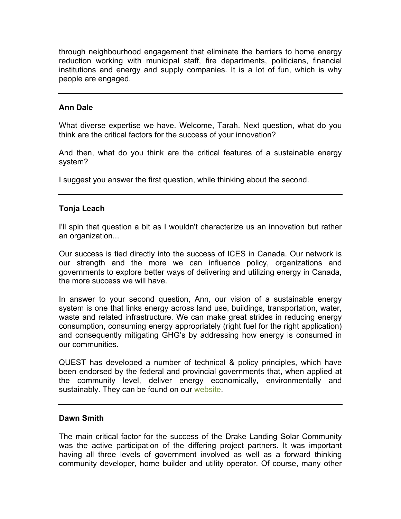through neighbourhood engagement that eliminate the barriers to home energy reduction working with municipal staff, fire departments, politicians, financial institutions and energy and supply companies. It is a lot of fun, which is why people are engaged.

### **Ann Dale**

What diverse expertise we have. Welcome, Tarah. Next question, what do you think are the critical factors for the success of your innovation?

And then, what do you think are the critical features of a sustainable energy system?

I suggest you answer the first question, while thinking about the second.

#### **Tonja Leach**

I'll spin that question a bit as I wouldn't characterize us an innovation but rather an organization...

Our success is tied directly into the success of ICES in Canada. Our network is our strength and the more we can influence policy, organizations and governments to explore better ways of delivering and utilizing energy in Canada, the more success we will have.

In answer to your second question, Ann, our vision of a sustainable energy system is one that links energy across land use, buildings, transportation, water, waste and related infrastructure. We can make great strides in reducing energy consumption, consuming energy appropriately (right fuel for the right application) and consequently mitigating GHG's by addressing how energy is consumed in our communities.

QUEST has developed a number of technical & policy principles, which have been endorsed by the federal and provincial governments that, when applied at the community level, deliver energy economically, environmentally and sustainably. They can be found on our [website.](http://www.questcanada.org)

### **Dawn Smith**

The main critical factor for the success of the Drake Landing Solar Community was the active participation of the differing project partners. It was important having all three levels of government involved as well as a forward thinking community developer, home builder and utility operator. Of course, many other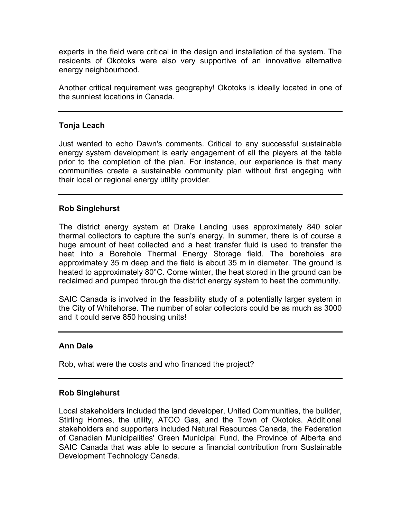experts in the field were critical in the design and installation of the system. The residents of Okotoks were also very supportive of an innovative alternative energy neighbourhood.

Another critical requirement was geography! Okotoks is ideally located in one of the sunniest locations in Canada.

### **Tonja Leach**

Just wanted to echo Dawn's comments. Critical to any successful sustainable energy system development is early engagement of all the players at the table prior to the completion of the plan. For instance, our experience is that many communities create a sustainable community plan without first engaging with their local or regional energy utility provider.

### **Rob Singlehurst**

The district energy system at Drake Landing uses approximately 840 solar thermal collectors to capture the sun's energy. In summer, there is of course a huge amount of heat collected and a heat transfer fluid is used to transfer the heat into a Borehole Thermal Energy Storage field. The boreholes are approximately 35 m deep and the field is about 35 m in diameter. The ground is heated to approximately 80°C. Come winter, the heat stored in the ground can be reclaimed and pumped through the district energy system to heat the community.

SAIC Canada is involved in the feasibility study of a potentially larger system in the City of Whitehorse. The number of solar collectors could be as much as 3000 and it could serve 850 housing units!

## **Ann Dale**

Rob, what were the costs and who financed the project?

### **Rob Singlehurst**

Local stakeholders included the land developer, United Communities, the builder, Stirling Homes, the utility, ATCO Gas, and the Town of Okotoks. Additional stakeholders and supporters included Natural Resources Canada, the Federation of Canadian Municipalities' Green Municipal Fund, the Province of Alberta and SAIC Canada that was able to secure a financial contribution from Sustainable Development Technology Canada.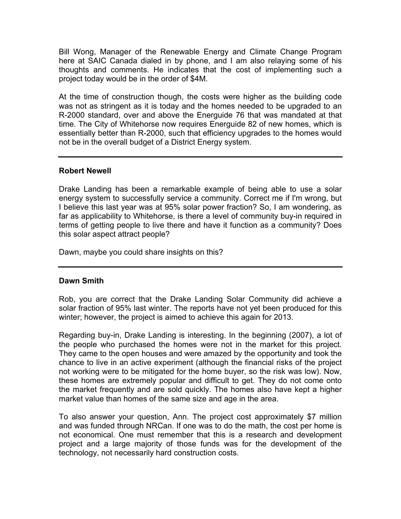Bill Wong, Manager of the Renewable Energy and Climate Change Program here at SAIC Canada dialed in by phone, and I am also relaying some of his thoughts and comments. He indicates that the cost of implementing such a project today would be in the order of \$4M.

At the time of construction though, the costs were higher as the building code was not as stringent as it is today and the homes needed to be upgraded to an R-2000 standard, over and above the Energuide 76 that was mandated at that time. The City of Whitehorse now requires Energuide 82 of new homes, which is essentially better than R-2000, such that efficiency upgrades to the homes would not be in the overall budget of a District Energy system.

### **Robert Newell**

Drake Landing has been a remarkable example of being able to use a solar energy system to successfully service a community. Correct me if I'm wrong, but I believe this last year was at 95% solar power fraction? So, I am wondering, as far as applicability to Whitehorse, is there a level of community buy-in required in terms of getting people to live there and have it function as a community? Does this solar aspect attract people?

Dawn, maybe you could share insights on this?

### **Dawn Smith**

Rob, you are correct that the Drake Landing Solar Community did achieve a solar fraction of 95% last winter. The reports have not yet been produced for this winter; however, the project is aimed to achieve this again for 2013.

Regarding buy-in, Drake Landing is interesting. In the beginning (2007), a lot of the people who purchased the homes were not in the market for this project. They came to the open houses and were amazed by the opportunity and took the chance to live in an active experiment (although the financial risks of the project not working were to be mitigated for the home buyer, so the risk was low). Now, these homes are extremely popular and difficult to get. They do not come onto the market frequently and are sold quickly. The homes also have kept a higher market value than homes of the same size and age in the area.

To also answer your question, Ann. The project cost approximately \$7 million and was funded through NRCan. If one was to do the math, the cost per home is not economical. One must remember that this is a research and development project and a large majority of those funds was for the development of the technology, not necessarily hard construction costs.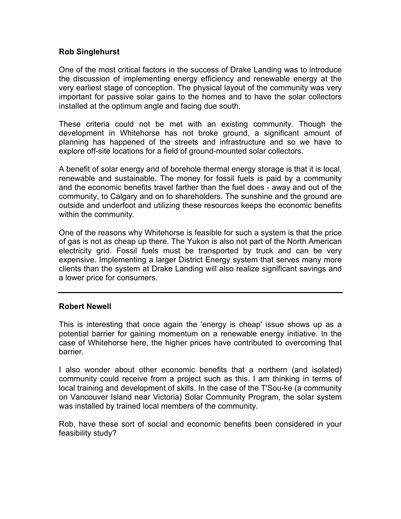### **Rob Singlehurst**

One of the most critical factors in the success of Drake Landing was to introduce the discussion of implementing energy efficiency and renewable energy at the very earliest stage of conception. The physical layout of the community was very important for passive solar gains to the homes and to have the solar collectors installed at the optimum angle and facing due south.

These criteria could not be met with an existing community. Though the development in Whitehorse has not broke ground, a significant amount of planning has happened of the streets and infrastructure and so we have to explore off-site locations for a field of ground-mounted solar collectors.

A benefit of solar energy and of borehole thermal energy storage is that it is local, renewable and sustainable. The money for fossil fuels is paid by a community and the economic benefits travel farther than the fuel does - away and out of the community, to Calgary and on to shareholders. The sunshine and the ground are outside and underfoot and utilizing these resources keeps the economic benefits within the community.

One of the reasons why Whitehorse is feasible for such a system is that the price of gas is not as cheap up there. The Yukon is also not part of the North American electricity grid. Fossil fuels must be transported by truck and can be very expensive. Implementing a larger District Energy system that serves many more clients than the system at Drake Landing will also realize significant savings and a lower price for consumers.

### **Robert Newell**

This is interesting that once again the 'energy is cheap' issue shows up as a potential barrier for gaining momentum on a renewable energy initiative. In the case of Whitehorse here, the higher prices have contributed to overcoming that barrier.

I also wonder about other economic benefits that a northern (and isolated) community could receive from a project such as this. I am thinking in terms of local training and development of skills. In the case of the T'Sou-ke (a community on Vancouver Island near Victoria) Solar Community Program, the solar system was installed by trained local members of the community.

Rob, have these sort of social and economic benefits been considered in your feasibility study?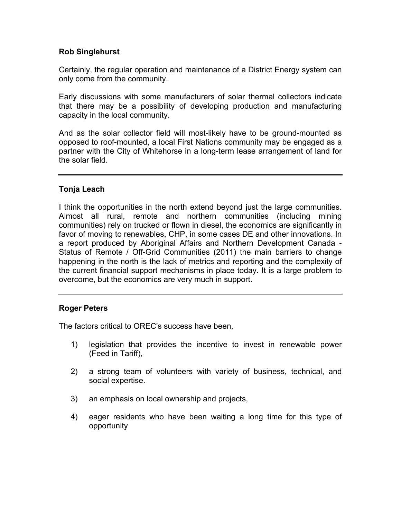### **Rob Singlehurst**

Certainly, the regular operation and maintenance of a District Energy system can only come from the community.

Early discussions with some manufacturers of solar thermal collectors indicate that there may be a possibility of developing production and manufacturing capacity in the local community.

And as the solar collector field will most-likely have to be ground-mounted as opposed to roof-mounted, a local First Nations community may be engaged as a partner with the City of Whitehorse in a long-term lease arrangement of land for the solar field.

## **Tonja Leach**

I think the opportunities in the north extend beyond just the large communities. Almost all rural, remote and northern communities (including mining communities) rely on trucked or flown in diesel, the economics are significantly in favor of moving to renewables, CHP, in some cases DE and other innovations. In a report produced by Aboriginal Affairs and Northern Development Canada - Status of Remote / Off-Grid Communities (2011) the main barriers to change happening in the north is the lack of metrics and reporting and the complexity of the current financial support mechanisms in place today. It is a large problem to overcome, but the economics are very much in support.

### **Roger Peters**

The factors critical to OREC's success have been,

- 1) legislation that provides the incentive to invest in renewable power (Feed in Tariff),
- 2) a strong team of volunteers with variety of business, technical, and social expertise.
- 3) an emphasis on local ownership and projects,
- 4) eager residents who have been waiting a long time for this type of opportunity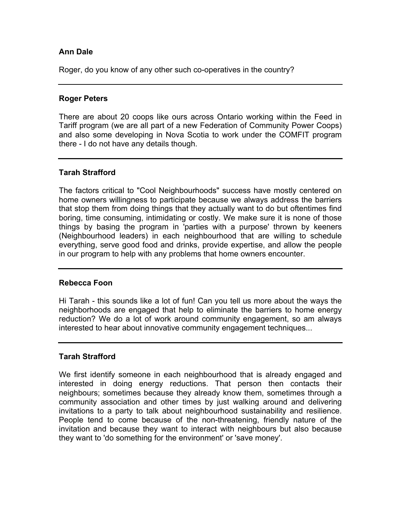## **Ann Dale**

Roger, do you know of any other such co-operatives in the country?

#### **Roger Peters**

There are about 20 coops like ours across Ontario working within the Feed in Tariff program (we are all part of a new Federation of Community Power Coops) and also some developing in Nova Scotia to work under the COMFIT program there - I do not have any details though.

### **Tarah Strafford**

The factors critical to "Cool Neighbourhoods" success have mostly centered on home owners willingness to participate because we always address the barriers that stop them from doing things that they actually want to do but oftentimes find boring, time consuming, intimidating or costly. We make sure it is none of those things by basing the program in 'parties with a purpose' thrown by keeners (Neighbourhood leaders) in each neighbourhood that are willing to schedule everything, serve good food and drinks, provide expertise, and allow the people in our program to help with any problems that home owners encounter.

#### **Rebecca Foon**

Hi Tarah - this sounds like a lot of fun! Can you tell us more about the ways the neighborhoods are engaged that help to eliminate the barriers to home energy reduction? We do a lot of work around community engagement, so am always interested to hear about innovative community engagement techniques...

### **Tarah Strafford**

We first identify someone in each neighbourhood that is already engaged and interested in doing energy reductions. That person then contacts their neighbours; sometimes because they already know them, sometimes through a community association and other times by just walking around and delivering invitations to a party to talk about neighbourhood sustainability and resilience. People tend to come because of the non-threatening, friendly nature of the invitation and because they want to interact with neighbours but also because they want to 'do something for the environment' or 'save money'.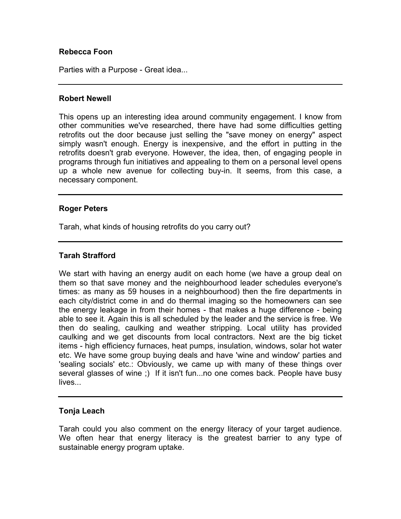### **Rebecca Foon**

Parties with a Purpose - Great idea...

#### **Robert Newell**

This opens up an interesting idea around community engagement. I know from other communities we've researched, there have had some difficulties getting retrofits out the door because just selling the "save money on energy" aspect simply wasn't enough. Energy is inexpensive, and the effort in putting in the retrofits doesn't grab everyone. However, the idea, then, of engaging people in programs through fun initiatives and appealing to them on a personal level opens up a whole new avenue for collecting buy-in. It seems, from this case, a necessary component.

#### **Roger Peters**

Tarah, what kinds of housing retrofits do you carry out?

#### **Tarah Strafford**

We start with having an energy audit on each home (we have a group deal on them so that save money and the neighbourhood leader schedules everyone's times: as many as 59 houses in a neighbourhood) then the fire departments in each city/district come in and do thermal imaging so the homeowners can see the energy leakage in from their homes - that makes a huge difference - being able to see it. Again this is all scheduled by the leader and the service is free. We then do sealing, caulking and weather stripping. Local utility has provided caulking and we get discounts from local contractors. Next are the big ticket items - high efficiency furnaces, heat pumps, insulation, windows, solar hot water etc. We have some group buying deals and have 'wine and window' parties and 'sealing socials' etc.: Obviously, we came up with many of these things over several glasses of wine ;) If it isn't fun...no one comes back. People have busy lives...

#### **Tonja Leach**

Tarah could you also comment on the energy literacy of your target audience. We often hear that energy literacy is the greatest barrier to any type of sustainable energy program uptake.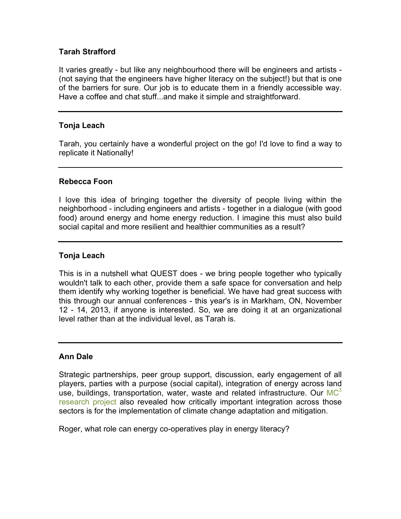### **Tarah Strafford**

It varies greatly - but like any neighbourhood there will be engineers and artists - (not saying that the engineers have higher literacy on the subject!) but that is one of the barriers for sure. Our job is to educate them in a friendly accessible way. Have a coffee and chat stuff...and make it simple and straightforward.

### **Tonja Leach**

Tarah, you certainly have a wonderful project on the go! I'd love to find a way to replicate it Nationally!

#### **Rebecca Foon**

I love this idea of bringing together the diversity of people living within the neighborhood - including engineers and artists - together in a dialogue (with good food) around energy and home energy reduction. I imagine this must also build social capital and more resilient and healthier communities as a result?

#### **Tonja Leach**

This is in a nutshell what QUEST does - we bring people together who typically wouldn't talk to each other, provide them a safe space for conversation and help them identify why working together is beneficial. We have had great success with this through our annual conferences - this year's is in Markham, ON, November 12 - 14, 2013, if anyone is interested. So, we are doing it at an organizational level rather than at the individual level, as Tarah is.

### **Ann Dale**

Strategic partnerships, peer group support, discussion, early engagement of all players, parties with a purpose (social capital), integration of energy across land use, buildings, transportation, water, waste and related infrastructure. Our  $MC<sup>3</sup>$  $MC<sup>3</sup>$ [research project](http://mc-3.ca) also revealed how critically important integration across those sectors is for the implementation of climate change adaptation and mitigation.

Roger, what role can energy co-operatives play in energy literacy?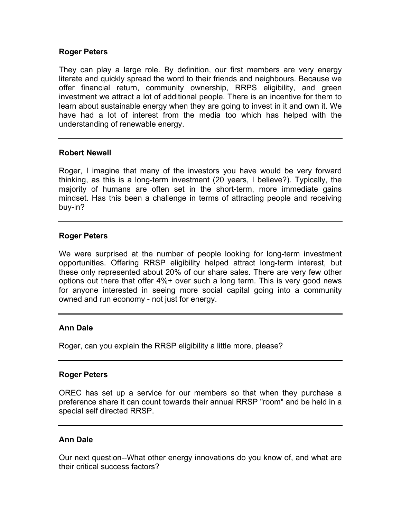#### **Roger Peters**

They can play a large role. By definition, our first members are very energy literate and quickly spread the word to their friends and neighbours. Because we offer financial return, community ownership, RRPS eligibility, and green investment we attract a lot of additional people. There is an incentive for them to learn about sustainable energy when they are going to invest in it and own it. We have had a lot of interest from the media too which has helped with the understanding of renewable energy.

#### **Robert Newell**

Roger, I imagine that many of the investors you have would be very forward thinking, as this is a long-term investment (20 years, I believe?). Typically, the majority of humans are often set in the short-term, more immediate gains mindset. Has this been a challenge in terms of attracting people and receiving buy-in?

#### **Roger Peters**

We were surprised at the number of people looking for long-term investment opportunities. Offering RRSP eligibility helped attract long-term interest, but these only represented about 20% of our share sales. There are very few other options out there that offer 4%+ over such a long term. This is very good news for anyone interested in seeing more social capital going into a community owned and run economy - not just for energy.

### **Ann Dale**

Roger, can you explain the RRSP eligibility a little more, please?

#### **Roger Peters**

OREC has set up a service for our members so that when they purchase a preference share it can count towards their annual RRSP "room" and be held in a special self directed RRSP.

### **Ann Dale**

Our next question--What other energy innovations do you know of, and what are their critical success factors?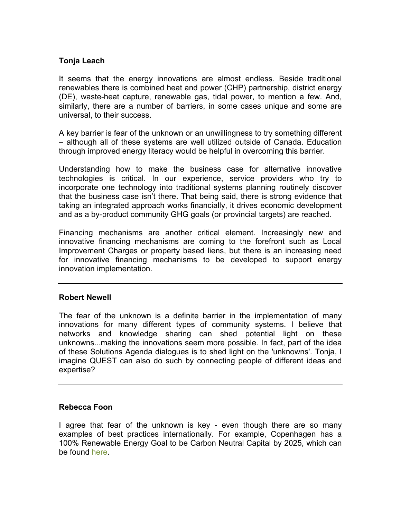### **Tonja Leach**

It seems that the energy innovations are almost endless. Beside traditional renewables there is combined heat and power (CHP) partnership, district energy (DE), waste-heat capture, renewable gas, tidal power, to mention a few. And, similarly, there are a number of barriers, in some cases unique and some are universal, to their success.

A key barrier is fear of the unknown or an unwillingness to try something different – although all of these systems are well utilized outside of Canada. Education through improved energy literacy would be helpful in overcoming this barrier.

Understanding how to make the business case for alternative innovative technologies is critical. In our experience, service providers who try to incorporate one technology into traditional systems planning routinely discover that the business case isn't there. That being said, there is strong evidence that taking an integrated approach works financially, it drives economic development and as a by-product community GHG goals (or provincial targets) are reached.

Financing mechanisms are another critical element. Increasingly new and innovative financing mechanisms are coming to the forefront such as Local Improvement Charges or property based liens, but there is an increasing need for innovative financing mechanisms to be developed to support energy innovation implementation.

### **Robert Newell**

The fear of the unknown is a definite barrier in the implementation of many innovations for many different types of community systems. I believe that networks and knowledge sharing can shed potential light on these unknowns...making the innovations seem more possible. In fact, part of the idea of these Solutions Agenda dialogues is to shed light on the 'unknowns'. Tonja, I imagine QUEST can also do such by connecting people of different ideas and expertise?

### **Rebecca Foon**

I agree that fear of the unknown is key - even though there are so many examples of best practices internationally. For example, Copenhagen has a 100% Renewable Energy Goal to be Carbon Neutral Capital by 2025, which can be found [here.](http://www.go100percent.org/cms/index.php?id=70&tx_ttnews%5Btt_news%5D=20)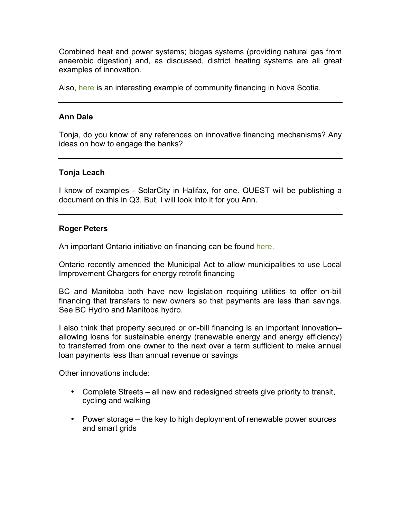Combined heat and power systems; biogas systems (providing natural gas from anaerobic digestion) and, as discussed, district heating systems are all great examples of innovation.

Also, [here](http://www.gov.ns.ca/econ/cedif/) is an interesting example of community financing in Nova Scotia.

#### **Ann Dale**

Tonja, do you know of any references on innovative financing mechanisms? Any ideas on how to engage the banks?

#### **Tonja Leach**

I know of examples - SolarCity in Halifax, for one. QUEST will be publishing a document on this in Q3. But, I will look into it for you Ann.

#### **Roger Peters**

An important Ontario initiative on financing can be found [here.](http://www.cleanairpartnership.org/cheerio)

Ontario recently amended the Municipal Act to allow municipalities to use Local Improvement Chargers for energy retrofit financing

BC and Manitoba both have new legislation requiring utilities to offer on-bill financing that transfers to new owners so that payments are less than savings. See BC Hydro and Manitoba hydro.

I also think that property secured or on-bill financing is an important innovation– allowing loans for sustainable energy (renewable energy and energy efficiency) to transferred from one owner to the next over a term sufficient to make annual loan payments less than annual revenue or savings

Other innovations include:

- Complete Streets all new and redesigned streets give priority to transit, cycling and walking
- Power storage the key to high deployment of renewable power sources and smart grids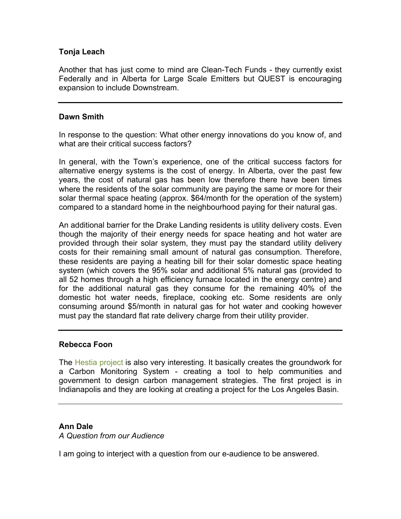### **Tonja Leach**

Another that has just come to mind are Clean-Tech Funds - they currently exist Federally and in Alberta for Large Scale Emitters but QUEST is encouraging expansion to include Downstream.

#### **Dawn Smith**

In response to the question: What other energy innovations do you know of, and what are their critical success factors?

In general, with the Town's experience, one of the critical success factors for alternative energy systems is the cost of energy. In Alberta, over the past few years, the cost of natural gas has been low therefore there have been times where the residents of the solar community are paying the same or more for their solar thermal space heating (approx. \$64/month for the operation of the system) compared to a standard home in the neighbourhood paying for their natural gas.

An additional barrier for the Drake Landing residents is utility delivery costs. Even though the majority of their energy needs for space heating and hot water are provided through their solar system, they must pay the standard utility delivery costs for their remaining small amount of natural gas consumption. Therefore, these residents are paying a heating bill for their solar domestic space heating system (which covers the 95% solar and additional 5% natural gas (provided to all 52 homes through a high efficiency furnace located in the energy centre) and for the additional natural gas they consume for the remaining 40% of the domestic hot water needs, fireplace, cooking etc. Some residents are only consuming around \$5/month in natural gas for hot water and cooking however must pay the standard flat rate delivery charge from their utility provider.

### **Rebecca Foon**

The [Hestia project](http://hestia.project.asu.edu/) is also very interesting. It basically creates the groundwork for a Carbon Monitoring System - creating a tool to help communities and government to design carbon management strategies. The first project is in Indianapolis and they are looking at creating a project for the Los Angeles Basin.

### **Ann Dale**

*A Question from our Audience*

I am going to interject with a question from our e-audience to be answered.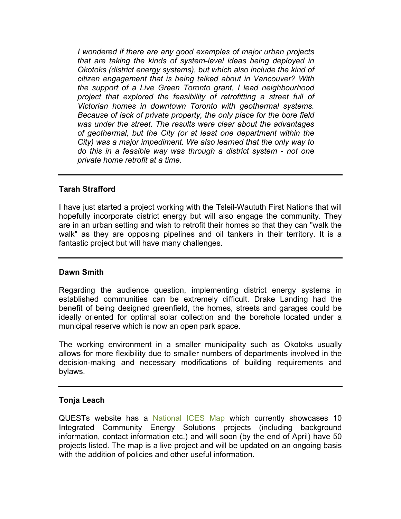*I wondered if there are any good examples of major urban projects that are taking the kinds of system-level ideas being deployed in Okotoks (district energy systems), but which also include the kind of citizen engagement that is being talked about in Vancouver? With the support of a Live Green Toronto grant, I lead neighbourhood project that explored the feasibility of retrofitting a street full of Victorian homes in downtown Toronto with geothermal systems. Because of lack of private property, the only place for the bore field was under the street. The results were clear about the advantages of geothermal, but the City (or at least one department within the City) was a major impediment. We also learned that the only way to do this in a feasible way was through a district system - not one private home retrofit at a time.*

## **Tarah Strafford**

I have just started a project working with the Tsleil-Waututh First Nations that will hopefully incorporate district energy but will also engage the community. They are in an urban setting and wish to retrofit their homes so that they can "walk the walk" as they are opposing pipelines and oil tankers in their territory. It is a fantastic project but will have many challenges.

### **Dawn Smith**

Regarding the audience question, implementing district energy systems in established communities can be extremely difficult. Drake Landing had the benefit of being designed greenfield, the homes, streets and garages could be ideally oriented for optimal solar collection and the borehole located under a municipal reserve which is now an open park space.

The working environment in a smaller municipality such as Okotoks usually allows for more flexibility due to smaller numbers of departments involved in the decision-making and necessary modifications of building requirements and bylaws.

### **Tonja Leach**

QUESTs website has a [National ICES Map](http://www.questcanada.org/interactive-ices-map) which currently showcases 10 Integrated Community Energy Solutions projects (including background information, contact information etc.) and will soon (by the end of April) have 50 projects listed. The map is a live project and will be updated on an ongoing basis with the addition of policies and other useful information.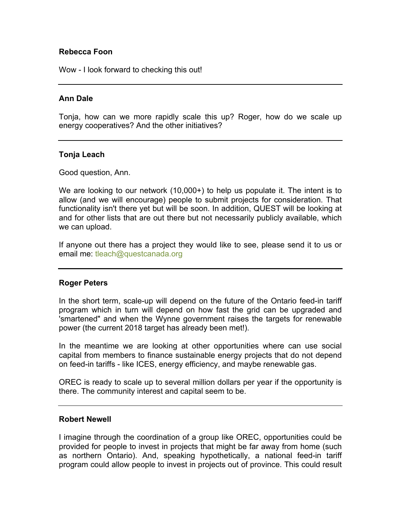#### **Rebecca Foon**

Wow - I look forward to checking this out!

#### **Ann Dale**

Tonja, how can we more rapidly scale this up? Roger, how do we scale up energy cooperatives? And the other initiatives?

#### **Tonja Leach**

Good question, Ann.

We are looking to our network (10,000+) to help us populate it. The intent is to allow (and we will encourage) people to submit projects for consideration. That functionality isn't there yet but will be soon. In addition, QUEST will be looking at and for other lists that are out there but not necessarily publicly available, which we can upload.

If anyone out there has a project they would like to see, please send it to us or email me: tleach@questcanada.org

#### **Roger Peters**

In the short term, scale-up will depend on the future of the Ontario feed-in tariff program which in turn will depend on how fast the grid can be upgraded and 'smartened" and when the Wynne government raises the targets for renewable power (the current 2018 target has already been met!).

In the meantime we are looking at other opportunities where can use social capital from members to finance sustainable energy projects that do not depend on feed-in tariffs - like ICES, energy efficiency, and maybe renewable gas.

OREC is ready to scale up to several million dollars per year if the opportunity is there. The community interest and capital seem to be.

#### **Robert Newell**

I imagine through the coordination of a group like OREC, opportunities could be provided for people to invest in projects that might be far away from home (such as northern Ontario). And, speaking hypothetically, a national feed-in tariff program could allow people to invest in projects out of province. This could result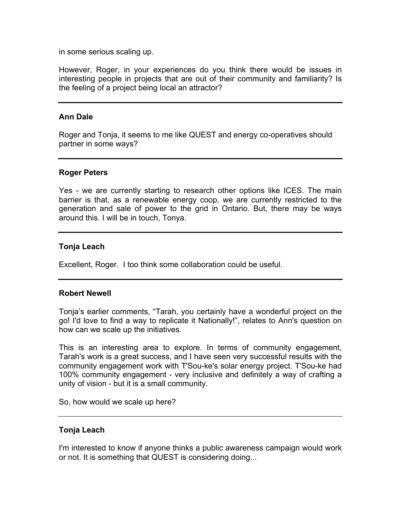in some serious scaling up.

However, Roger, in your experiences do you think there would be issues in interesting people in projects that are out of their community and familiarity? Is the feeling of a project being local an attractor?

#### **Ann Dale**

Roger and Tonja, it seems to me like QUEST and energy co-operatives should partner in some ways?

#### **Roger Peters**

Yes - we are currently starting to research other options like ICES. The main barrier is that, as a renewable energy coop, we are currently restricted to the generation and sale of power to the grid in Ontario. But, there may be ways around this. I will be in touch, Tonya.

#### **Tonja Leach**

Excellent, Roger. I too think some collaboration could be useful.

#### **Robert Newell**

Tonja's earlier comments, "Tarah, you certainly have a wonderful project on the go! I'd love to find a way to replicate it Nationally!", relates to Ann's question on how can we scale up the initiatives.

This is an interesting area to explore. In terms of community engagement, Tarah's work is a great success, and I have seen very successful results with the community engagement work with T'Sou-ke's solar energy project. T'Sou-ke had 100% community engagement - very inclusive and definitely a way of crafting a unity of vision - but it is a small community.

So, how would we scale up here?

#### **Tonja Leach**

I'm interested to know if anyone thinks a public awareness campaign would work or not. It is something that QUEST is considering doing...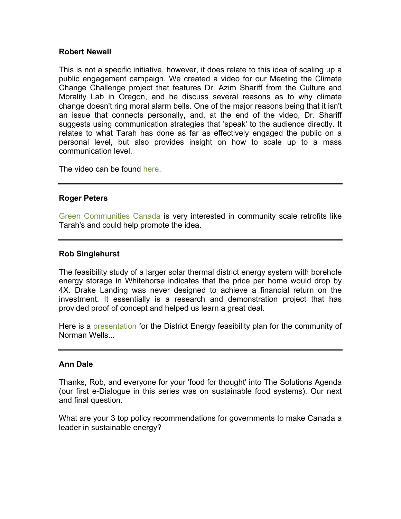#### **Robert Newell**

This is not a specific initiative, however, it does relate to this idea of scaling up a public engagement campaign. We created a video for our Meeting the Climate Change Challenge project that features Dr. Azim Shariff from the Culture and Morality Lab in Oregon, and he discuss several reasons as to why climate change doesn't ring moral alarm bells. One of the major reasons being that it isn't an issue that connects personally, and, at the end of the video, Dr. Shariff suggests using communication strategies that 'speak' to the audience directly. It relates to what Tarah has done as far as effectively engaged the public on a personal level, but also provides insight on how to scale up to a mass communication level.

The video can be found [here.](http://www.youtube.com/watch?v=PbzPFd7LJYA&feature=share&list=PLEPEIpaRONyfUReVUJfMC8zidruqbPIjB)

#### **Roger Peters**

[Green Communities Canada](http://greencommunities.nonprofitwebsites.ca/) is very interested in community scale retrofits like Tarah's and could help promote the idea.

#### **Rob Singlehurst**

The feasibility study of a larger solar thermal district energy system with borehole energy storage in Whitehorse indicates that the price per home would drop by 4X. Drake Landing was never designed to achieve a financial return on the investment. It essentially is a research and demonstration project that has provided proof of concept and helped us learn a great deal.

Here is a [presentation](http://crcresearch.org/sites/default/files/u641/ae_2012-09-12_norman_wells_community_presentation_mg.pdf) for the District Energy feasibility plan for the community of Norman Wells...

#### **Ann Dale**

Thanks, Rob, and everyone for your 'food for thought' into The Solutions Agenda (our first e-Dialogue in this series was on sustainable food systems). Our next and final question.

What are your 3 top policy recommendations for governments to make Canada a leader in sustainable energy?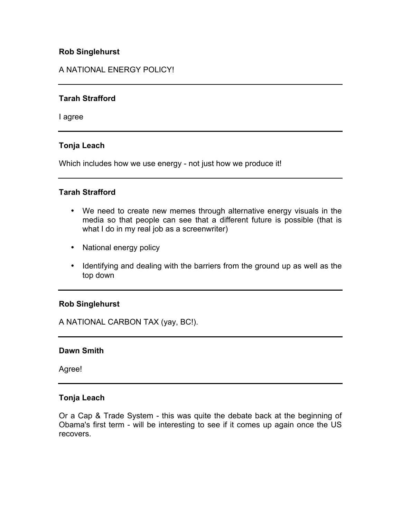### **Rob Singlehurst**

## A NATIONAL ENERGY POLICY!

### **Tarah Strafford**

I agree

### **Tonja Leach**

Which includes how we use energy - not just how we produce it!

### **Tarah Strafford**

- We need to create new memes through alternative energy visuals in the media so that people can see that a different future is possible (that is what I do in my real job as a screenwriter)
- National energy policy
- Identifying and dealing with the barriers from the ground up as well as the top down

### **Rob Singlehurst**

A NATIONAL CARBON TAX (yay, BC!).

### **Dawn Smith**

Agree!

### **Tonja Leach**

Or a Cap & Trade System - this was quite the debate back at the beginning of Obama's first term - will be interesting to see if it comes up again once the US recovers.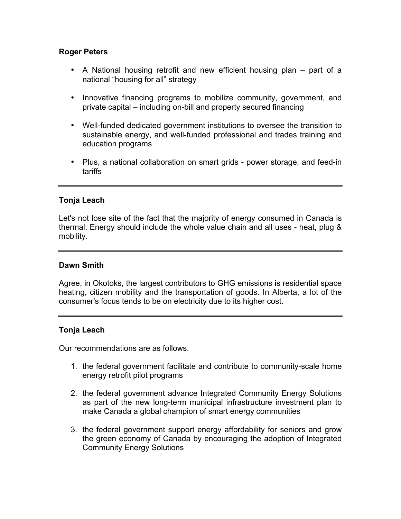### **Roger Peters**

- A National housing retrofit and new efficient housing plan part of a national "housing for all" strategy
- Innovative financing programs to mobilize community, government, and private capital – including on-bill and property secured financing
- Well-funded dedicated government institutions to oversee the transition to sustainable energy, and well-funded professional and trades training and education programs
- Plus, a national collaboration on smart grids power storage, and feed-in tariffs

#### **Tonja Leach**

Let's not lose site of the fact that the majority of energy consumed in Canada is thermal. Energy should include the whole value chain and all uses - heat, plug & mobility.

#### **Dawn Smith**

Agree, in Okotoks, the largest contributors to GHG emissions is residential space heating, citizen mobility and the transportation of goods. In Alberta, a lot of the consumer's focus tends to be on electricity due to its higher cost.

#### **Tonja Leach**

Our recommendations are as follows.

- 1. the federal government facilitate and contribute to community-scale home energy retrofit pilot programs
- 2. the federal government advance Integrated Community Energy Solutions as part of the new long-term municipal infrastructure investment plan to make Canada a global champion of smart energy communities
- 3. the federal government support energy affordability for seniors and grow the green economy of Canada by encouraging the adoption of Integrated Community Energy Solutions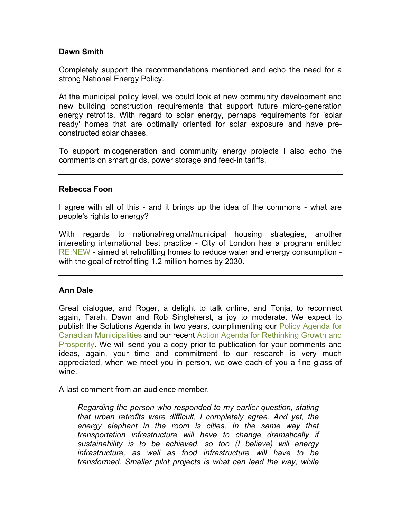#### **Dawn Smith**

Completely support the recommendations mentioned and echo the need for a strong National Energy Policy.

At the municipal policy level, we could look at new community development and new building construction requirements that support future micro-generation energy retrofits. With regard to solar energy, perhaps requirements for 'solar ready' homes that are optimally oriented for solar exposure and have preconstructed solar chases.

To support micogeneration and community energy projects I also echo the comments on smart grids, power storage and feed-in tariffs.

#### **Rebecca Foon**

I agree with all of this - and it brings up the idea of the commons - what are people's rights to energy?

With regards to national/regional/municipal housing strategies, another interesting international best practice - City of London has a program entitled [RE:NEW](http://www.london.gov.uk/priorities/environment/climate-change/energy-efficiency/homes-energy-efficiency-for-tomorrow) - aimed at retrofitting homes to reduce water and energy consumption with the goal of retrofitting 1.2 million homes by 2030.

### **Ann Dale**

Great dialogue, and Roger, a delight to talk online, and Tonja, to reconnect again, Tarah, Dawn and Rob Singleherst, a joy to moderate. We expect to publish the Solutions Agenda in two years, complimenting our [Policy Agenda for](http://crcresearch.org/solutions-agenda/policy-agenda-canadian-municipalities) [Canadian Municipalities](http://crcresearch.org/solutions-agenda/policy-agenda-canadian-municipalities) and our recent [Action Agenda for Rethinking Growth and](http://crcresearch.org/solutions-agenda/action-agenda-rethinking-growth-and-prosperity) [Prosperity.](http://crcresearch.org/solutions-agenda/action-agenda-rethinking-growth-and-prosperity) We will send you a copy prior to publication for your comments and ideas, again, your time and commitment to our research is very much appreciated, when we meet you in person, we owe each of you a fine glass of wine.

A last comment from an audience member.

*Regarding the person who responded to my earlier question, stating that urban retrofits were difficult, I completely agree. And yet, the energy elephant in the room is cities. In the same way that transportation infrastructure will have to change dramatically if sustainability is to be achieved, so too (I believe) will energy infrastructure, as well as food infrastructure will have to be transformed. Smaller pilot projects is what can lead the way, while*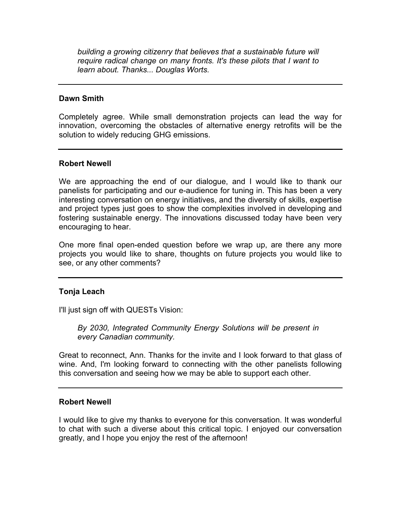*building a growing citizenry that believes that a sustainable future will require radical change on many fronts. It's these pilots that I want to learn about. Thanks... Douglas Worts.*

#### **Dawn Smith**

Completely agree. While small demonstration projects can lead the way for innovation, overcoming the obstacles of alternative energy retrofits will be the solution to widely reducing GHG emissions.

#### **Robert Newell**

We are approaching the end of our dialogue, and I would like to thank our panelists for participating and our e-audience for tuning in. This has been a very interesting conversation on energy initiatives, and the diversity of skills, expertise and project types just goes to show the complexities involved in developing and fostering sustainable energy. The innovations discussed today have been very encouraging to hear.

One more final open-ended question before we wrap up, are there any more projects you would like to share, thoughts on future projects you would like to see, or any other comments?

### **Tonja Leach**

I'll just sign off with QUESTs Vision:

*By 2030, Integrated Community Energy Solutions will be present in every Canadian community.* 

Great to reconnect, Ann. Thanks for the invite and I look forward to that glass of wine. And, I'm looking forward to connecting with the other panelists following this conversation and seeing how we may be able to support each other.

#### **Robert Newell**

I would like to give my thanks to everyone for this conversation. It was wonderful to chat with such a diverse about this critical topic. I enjoyed our conversation greatly, and I hope you enjoy the rest of the afternoon!